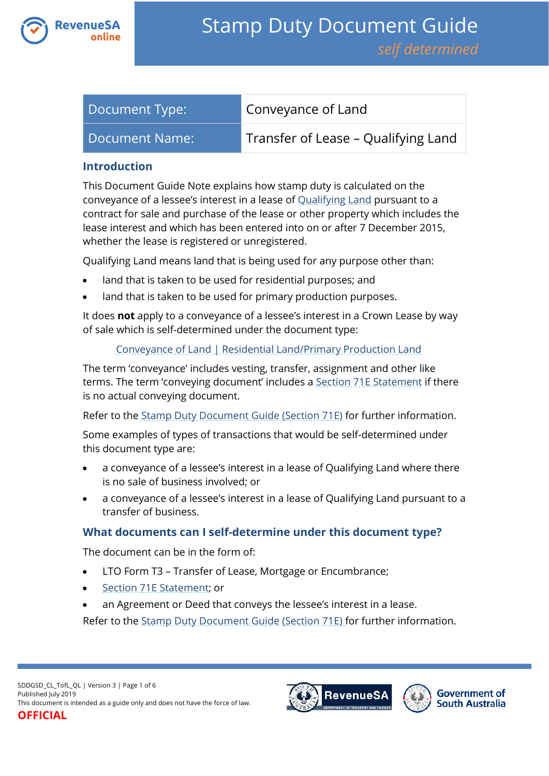

| Document Type: | Conveyance of Land                  |
|----------------|-------------------------------------|
| Document Name: | Transfer of Lease - Qualifying Land |

## **Introduction**

This Document Guide Note explains how stamp duty is calculated on the conveyance of a lessee's interest in a lease of [Qualifying Land](https://www.revenuesa.sa.gov.au/stampduty/stamp-duty-document-guide#Qualifying) pursuant to a contract for sale and purchase of the lease or other property which includes the lease interest and which has been entered into on or after 7 December 2015, whether the lease is registered or unregistered.

Qualifying Land means land that is being used for any purpose other than:

- land that is taken to be used for residential purposes; and
- land that is taken to be used for primary production purposes.

It does **not** apply to a conveyance of a lessee's interest in a Crown Lease by way of sale which is self-determined under the document type:

# [Conveyance of Land | Residential Land/Primary Production Land](https://www.revenuesa.sa.gov.au/stampduty/stamp-duty-document-guide/self-determined/conveyance-of-land/sddgsd_cl_rpp)

The term 'conveyance' includes vesting, transfer, assignment and other like terms. The term 'conveying document' includes a [Section 71E Statement](https://www.revenuesa.sa.gov.au/forms-and-publications/documents/forms/71estatement.pdf) if there is no actual conveying document.

Refer to the [Stamp Duty Document Guide \(Section 71E\)](https://www.revenuesa.sa.gov.au/stampduty/stamp-duty-document-guide/section71e) for further information.

Some examples of types of transactions that would be self-determined under this document type are:

- a conveyance of a lessee's interest in a lease of Qualifying Land where there is no sale of business involved; or
- a conveyance of a lessee's interest in a lease of Qualifying Land pursuant to a transfer of business.

# **What documents can I self-determine under this document type?**

The document can be in the form of:

- LTO Form T3 Transfer of Lease, Mortgage or Encumbrance;
- [Section 71E Statement;](https://www.revenuesa.sa.gov.au/forms-and-publications/documents/forms/71estatement.pdf) or
- an Agreement or Deed that conveys the lessee's interest in a lease.

Refer to the [Stamp Duty Document Guide \(Section 71E\)](https://www.revenuesa.sa.gov.au/stampduty/stamp-duty-document-guide/section71e) for further information.



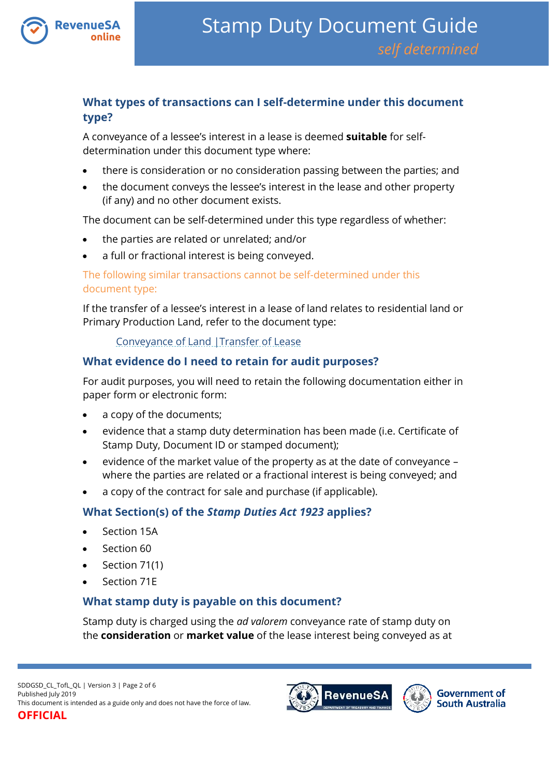

# **What types of transactions can I self-determine under this document type?**

A conveyance of a lessee's interest in a lease is deemed **suitable** for selfdetermination under this document type where:

- there is consideration or no consideration passing between the parties; and
- the document conveys the lessee's interest in the lease and other property (if any) and no other document exists.

The document can be self-determined under this type regardless of whether:

- the parties are related or unrelated; and/or
- a full or fractional interest is being conveyed.

## The following similar transactions cannot be self-determined under this document type:

If the transfer of a lessee's interest in a lease of land relates to residential land or Primary Production Land, refer to the document type:

[Conveyance of Land |Transfer of Lease](https://www.revenuesa.sa.gov.au/stampduty/stamp-duty-document-guide/self-determined/conveyance-of-land/sddgsd_cl_tofl_rpp)

# **What evidence do I need to retain for audit purposes?**

For audit purposes, you will need to retain the following documentation either in paper form or electronic form:

- a copy of the documents;
- evidence that a stamp duty determination has been made (i.e. Certificate of Stamp Duty, Document ID or stamped document);
- evidence of the market value of the property as at the date of conveyance where the parties are related or a fractional interest is being conveyed; and
- a copy of the contract for sale and purchase (if applicable).

# **What Section(s) of the** *Stamp Duties Act 1923* **applies?**

- Section 15A
- Section 60
- $\bullet$  Section 71(1)
- Section 71E

# **What stamp duty is payable on this document?**

Stamp duty is charged using the *ad valorem* conveyance rate of stamp duty on the **consideration** or **market value** of the lease interest being conveyed as at

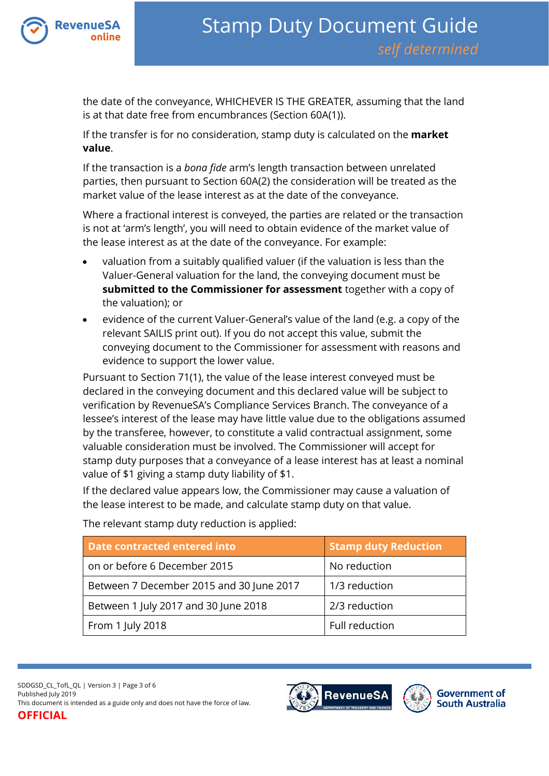

the date of the conveyance, WHICHEVER IS THE GREATER, assuming that the land is at that date free from encumbrances (Section 60A(1)).

If the transfer is for no consideration, stamp duty is calculated on the **market value**.

If the transaction is a *bona fide* arm's length transaction between unrelated parties, then pursuant to Section 60A(2) the consideration will be treated as the market value of the lease interest as at the date of the conveyance.

Where a fractional interest is conveyed, the parties are related or the transaction is not at 'arm's length', you will need to obtain evidence of the market value of the lease interest as at the date of the conveyance. For example:

- valuation from a suitably qualified valuer (if the valuation is less than the Valuer-General valuation for the land, the conveying document must be **submitted to the Commissioner for assessment** together with a copy of the valuation); or
- evidence of the current Valuer-General's value of the land (e.g. a copy of the relevant SAILIS print out). If you do not accept this value, submit the conveying document to the Commissioner for assessment with reasons and evidence to support the lower value.

Pursuant to Section 71(1), the value of the lease interest conveyed must be declared in the conveying document and this declared value will be subject to verification by RevenueSA's Compliance Services Branch. The conveyance of a lessee's interest of the lease may have little value due to the obligations assumed by the transferee, however, to constitute a valid contractual assignment, some valuable consideration must be involved. The Commissioner will accept for stamp duty purposes that a conveyance of a lease interest has at least a nominal value of \$1 giving a stamp duty liability of \$1.

If the declared value appears low, the Commissioner may cause a valuation of the lease interest to be made, and calculate stamp duty on that value.

| Date contracted entered into             | <b>Stamp duty Reduction</b> |
|------------------------------------------|-----------------------------|
| on or before 6 December 2015             | No reduction                |
| Between 7 December 2015 and 30 June 2017 | 1/3 reduction               |
| Between 1 July 2017 and 30 June 2018     | 2/3 reduction               |
| From 1 July 2018                         | Full reduction              |

The relevant stamp duty reduction is applied:



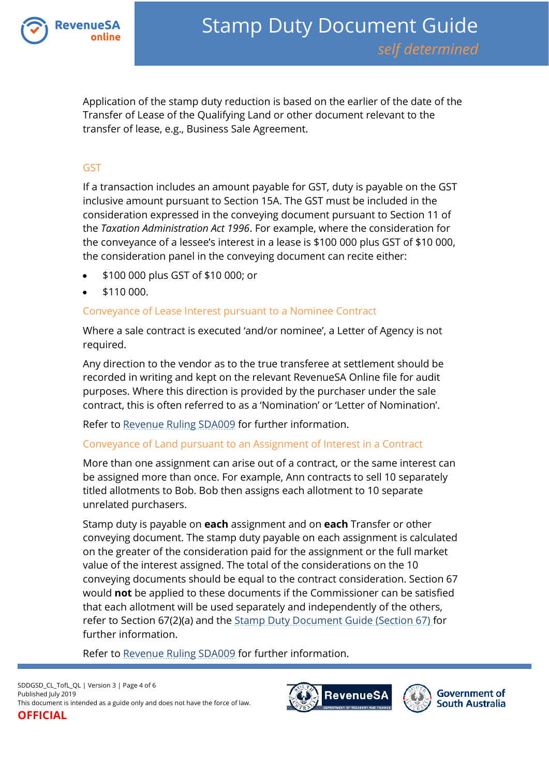

Application of the stamp duty reduction is based on the earlier of the date of the Transfer of Lease of the Qualifying Land or other document relevant to the transfer of lease, e.g., Business Sale Agreement.

### GST

If a transaction includes an amount payable for GST, duty is payable on the GST inclusive amount pursuant to Section 15A. The GST must be included in the consideration expressed in the conveying document pursuant to Section 11 of the *Taxation Administration Act 1996*. For example, where the consideration for the conveyance of a lessee's interest in a lease is \$100 000 plus GST of \$10 000, the consideration panel in the conveying document can recite either:

- \$100 000 plus GST of \$10 000; or
- \$110 000.

#### Conveyance of Lease Interest pursuant to a Nominee Contract

Where a sale contract is executed 'and/or nominee', a Letter of Agency is not required.

Any direction to the vendor as to the true transferee at settlement should be recorded in writing and kept on the relevant RevenueSA Online file for audit purposes. Where this direction is provided by the purchaser under the sale contract, this is often referred to as a 'Nomination' or 'Letter of Nomination'.

Refer to [Revenue Ruling SDA009](https://www.revenuesa.sa.gov.au/forms-and-publications/information-circulars-and-revenue-rulings/revenue-rulings/sda009) for further information.

#### Conveyance of Land pursuant to an Assignment of Interest in a Contract

More than one assignment can arise out of a contract, or the same interest can be assigned more than once. For example, Ann contracts to sell 10 separately titled allotments to Bob. Bob then assigns each allotment to 10 separate unrelated purchasers.

Stamp duty is payable on **each** assignment and on **each** Transfer or other conveying document. The stamp duty payable on each assignment is calculated on the greater of the consideration paid for the assignment or the full market value of the interest assigned. The total of the considerations on the 10 conveying documents should be equal to the contract consideration. Section 67 would **not** be applied to these documents if the Commissioner can be satisfied that each allotment will be used separately and independently of the others, refer to Section 67(2)(a) and the [Stamp Duty Document Guide \(Section 67\)](https://www.revenuesa.sa.gov.au/stampduty/stamp-duty-document-guide/section67) for further information.

Refer to [Revenue Ruling SDA009](https://www.revenuesa.sa.gov.au/forms-and-publications/information-circulars-and-revenue-rulings/revenue-rulings/sda009) for further information.





**Government of South Australia**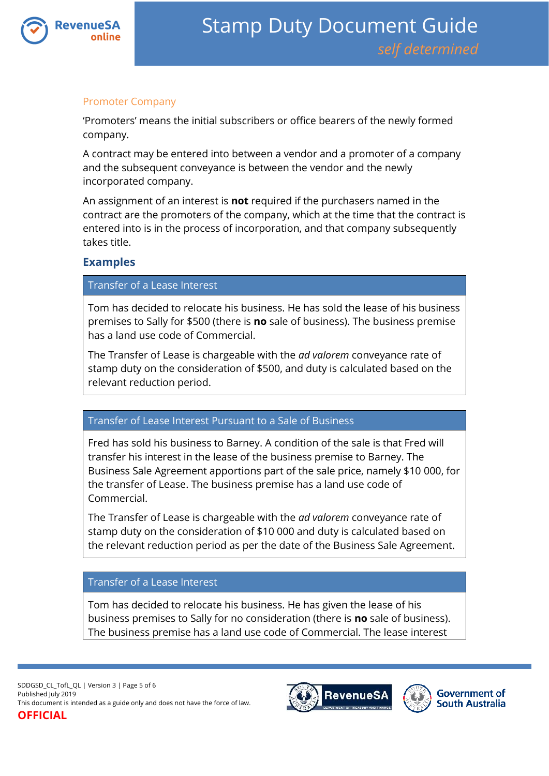

## Promoter Company

'Promoters' means the initial subscribers or office bearers of the newly formed company.

A contract may be entered into between a vendor and a promoter of a company and the subsequent conveyance is between the vendor and the newly incorporated company.

An assignment of an interest is **not** required if the purchasers named in the contract are the promoters of the company, which at the time that the contract is entered into is in the process of incorporation, and that company subsequently takes title.

# **Examples**

### Transfer of a Lease Interest

Tom has decided to relocate his business. He has sold the lease of his business premises to Sally for \$500 (there is **no** sale of business). The business premise has a land use code of Commercial.

The Transfer of Lease is chargeable with the *ad valorem* conveyance rate of stamp duty on the consideration of \$500, and duty is calculated based on the relevant reduction period.

### Transfer of Lease Interest Pursuant to a Sale of Business

Fred has sold his business to Barney. A condition of the sale is that Fred will transfer his interest in the lease of the business premise to Barney. The Business Sale Agreement apportions part of the sale price, namely \$10 000, for the transfer of Lease. The business premise has a land use code of Commercial.

The Transfer of Lease is chargeable with the *ad valorem* conveyance rate of stamp duty on the consideration of \$10 000 and duty is calculated based on the relevant reduction period as per the date of the Business Sale Agreement.

### Transfer of a Lease Interest

Tom has decided to relocate his business. He has given the lease of his business premises to Sally for no consideration (there is **no** sale of business). The business premise has a land use code of Commercial. The lease interest